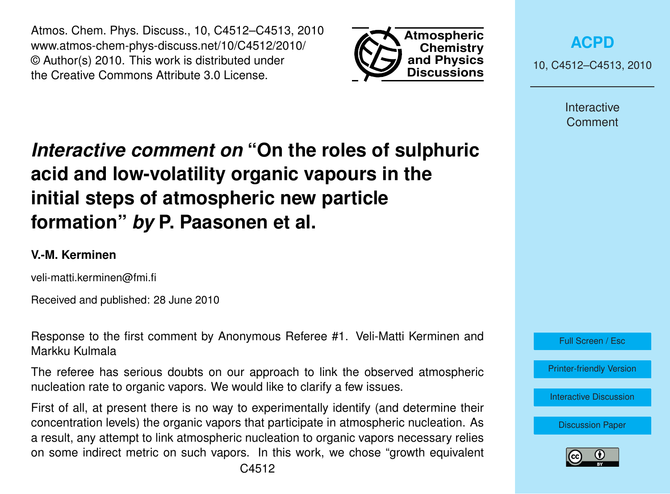Atmos. Chem. Phys. Discuss., 10, C4512–C4513, 2010 www.atmos-chem-phys-discuss.net/10/C4512/2010/ © Author(s) 2010. This work is distributed under the Creative Commons Attribute 3.0 License.



**[ACPD](http://www.atmos-chem-phys-discuss.net)**

10, C4512–C4513, 2010

Interactive Comment

## *Interactive comment on* **"On the roles of sulphuric acid and low-volatility organic vapours in the initial steps of atmospheric new particle formation"** *by* **P. Paasonen et al.**

## **V.-M. Kerminen**

veli-matti.kerminen@fmi.fi

Received and published: 28 June 2010

Response to the first comment by Anonymous Referee #1. Veli-Matti Kerminen and Markku Kulmala

The referee has serious doubts on our approach to link the observed atmospheric nucleation rate to organic vapors. We would like to clarify a few issues.

First of all, at present there is no way to experimentally identify (and determine their concentration levels) the organic vapors that participate in atmospheric nucleation. As a result, any attempt to link atmospheric nucleation to organic vapors necessary relies on some indirect metric on such vapors. In this work, we chose "growth equivalent